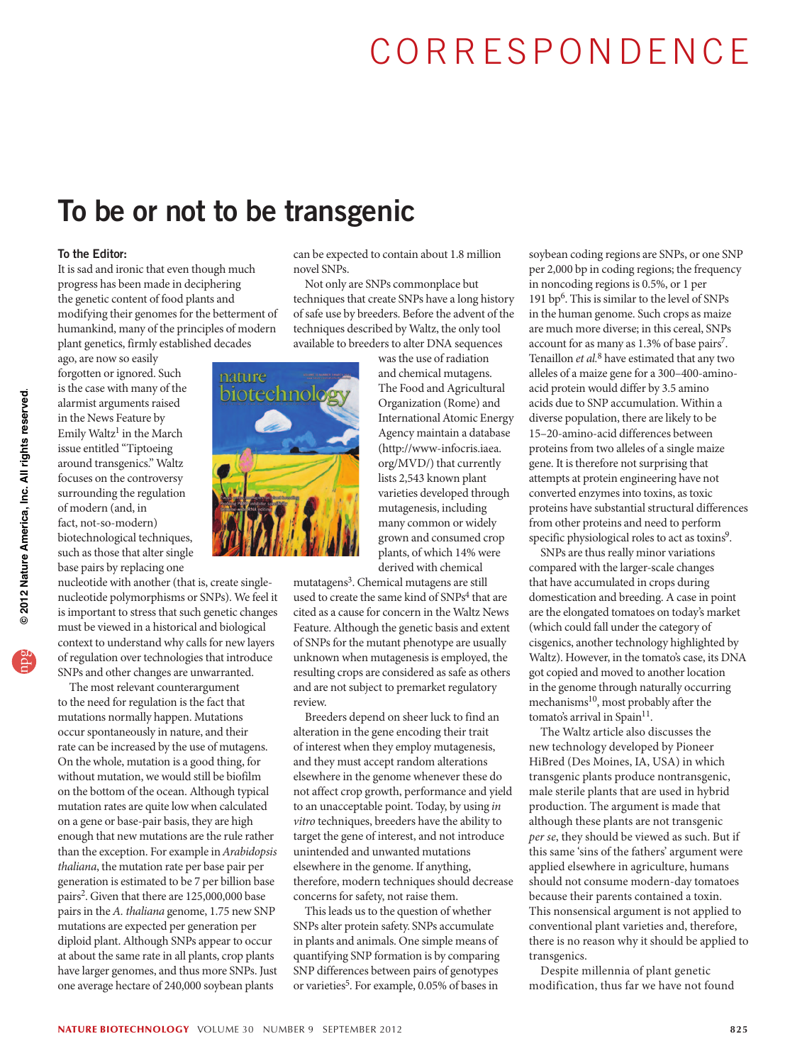# CORRESPONDENCE

### To be or not to be transgenic

### To the Editor:

It is sad and ironic that even though much progress has been made in deciphering the genetic content of food plants and modifying their genomes for the betterment of humankind, many of the principles of modern plant genetics, firmly established decades

ago, are now so easily forgotten or ignored. Such is the case with many of the alarmist arguments raised in the News Feature by Emily Waltz<sup>1</sup> in the March issue entitled "Tiptoeing around transgenics." Waltz focuses on the controversy surrounding the regulation of modern (and, in fact, not-so-modern) biotechnological techniques, such as those that alter single base pairs by replacing one

nucleotide with another (that is, create singlenucleotide polymorphisms or SNPs). We feel it is important to stress that such genetic changes must be viewed in a historical and biological context to understand why calls for new layers of regulation over technologies that introduce SNPs and other changes are unwarranted.

The most relevant counterargument to the need for regulation is the fact that mutations normally happen. Mutations occur spontaneously in nature, and their rate can be increased by the use of mutagens. On the whole, mutation is a good thing, for without mutation, we would still be biofilm on the bottom of the ocean. Although typical mutation rates are quite low when calculated on a gene or base-pair basis, they are high enough that new mutations are the rule rather than the exception. For example in Arabidopsis thaliana, the mutation rate per base pair per generation is estimated to be 7 per billion base pairs<sup>2</sup>. Given that there are 125,000,000 base pairs in the A. thaliana genome, 1.75 new SNP mutations are expected per generation per diploid plant. Although SNPs appear to occur at about the same rate in all plants, crop plants have larger genomes, and thus more SNPs. Just one average hectare of 240,000 soybean plants

can be expected to contain about 1.8 million novel SNPs.

Not only are SNPs commonplace but techniques that create SNPs have a long history of safe use by breeders. Before the advent of the techniques described by Waltz, the only tool available to breeders to alter DNA sequences

> was the use of radiation and chemical mutagens. The Food and Agricultural Organization (Rome) and International Atomic Energy Agency maintain a database [\(http://www-infocris.iaea.](http://www-infocris.iaea.org/MVD/) [org/MVD/](http://www-infocris.iaea.org/MVD/)) that currently lists 2,543 known plant varieties developed through mutagenesis, including many common or widely grown and consumed crop plants, of which 14% were derived with chemical

mutatagens<sup>3</sup>. Chemical mutagens are still used to create the same kind of SNPs<sup>4</sup> that are cited as a cause for concern in the Waltz News Feature. Although the genetic basis and extent of SNPs for the mutant phenotype are usually unknown when mutagenesis is employed, the resulting crops are considered as safe as others and are not subject to premarket regulatory review.

Breeders depend on sheer luck to find an alteration in the gene encoding their trait of interest when they employ mutagenesis, and they must accept random alterations elsewhere in the genome whenever these do not affect crop growth, performance and yield to an unacceptable point. Today, by using in vitro techniques, breeders have the ability to target the gene of interest, and not introduce unintended and unwanted mutations elsewhere in the genome. If anything, therefore, modern techniques should decrease concerns for safety, not raise them.

This leads us to the question of whether SNPs alter protein safety. SNPs accumulate in plants and animals. One simple means of quantifying SNP formation is by comparing SNP differences between pairs of genotypes or varieties<sup>5</sup>. For example, 0.05% of bases in

soybean coding regions are SNPs, or one SNP per 2,000 bp in coding regions; the frequency in noncoding regions is 0.5%, or 1 per 191 bp6. This is similar to the level of SNPs in the human genome. Such crops as maize are much more diverse; in this cereal, SNPs account for as many as 1.3% of base pairs<sup>7</sup>. Tenaillon et al.<sup>8</sup> have estimated that any two alleles of a maize gene for a 300–400-aminoacid protein would differ by 3.5 amino acids due to SNP accumulation. Within a diverse population, there are likely to be 15–20-amino-acid differences between proteins from two alleles of a single maize gene. It is therefore not surprising that attempts at protein engineering have not converted enzymes into toxins, as toxic proteins have substantial structural differences from other proteins and need to perform specific physiological roles to act as toxins<sup>9</sup>.

SNPs are thus really minor variations compared with the larger-scale changes that have accumulated in crops during domestication and breeding. A case in point are the elongated tomatoes on today's market (which could fall under the category of cisgenics, another technology highlighted by Waltz). However, in the tomato's case, its DNA got copied and moved to another location in the genome through naturally occurring mechanisms<sup>10</sup>, most probably after the tomato's arrival in Spain<sup>11</sup>.

The Waltz article also discusses the new technology developed by Pioneer HiBred (Des Moines, IA, USA) in which transgenic plants produce nontransgenic, male sterile plants that are used in hybrid production. The argument is made that although these plants are not transgenic per se, they should be viewed as such. But if this same 'sins of the fathers' argument were applied elsewhere in agriculture, humans should not consume modern-day tomatoes because their parents contained a toxin. This nonsensical argument is not applied to conventional plant varieties and, therefore, there is no reason why it should be applied to transgenics.

Despite millennia of plant genetic modification, thus far we have not found